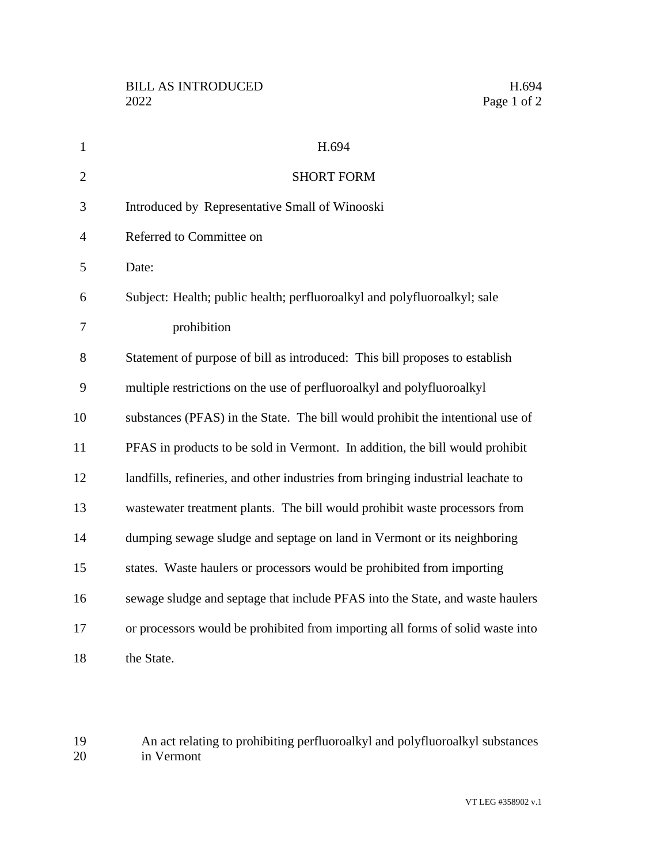| $\mathbf{1}$   | H.694                                                                            |
|----------------|----------------------------------------------------------------------------------|
| $\overline{2}$ | <b>SHORT FORM</b>                                                                |
| 3              | Introduced by Representative Small of Winooski                                   |
| $\overline{4}$ | Referred to Committee on                                                         |
| 5              | Date:                                                                            |
| 6              | Subject: Health; public health; perfluoroalkyl and polyfluoroalkyl; sale         |
| 7              | prohibition                                                                      |
| 8              | Statement of purpose of bill as introduced: This bill proposes to establish      |
| 9              | multiple restrictions on the use of perfluoroalkyl and polyfluoroalkyl           |
| 10             | substances (PFAS) in the State. The bill would prohibit the intentional use of   |
| 11             | PFAS in products to be sold in Vermont. In addition, the bill would prohibit     |
| 12             | landfills, refineries, and other industries from bringing industrial leachate to |
| 13             | wastewater treatment plants. The bill would prohibit waste processors from       |
| 14             | dumping sewage sludge and septage on land in Vermont or its neighboring          |
| 15             | states. Waste haulers or processors would be prohibited from importing           |
| 16             | sewage sludge and septage that include PFAS into the State, and waste haulers    |
| 17             | or processors would be prohibited from importing all forms of solid waste into   |
| 18             | the State.                                                                       |

19 An act relating to prohibiting perfluoroalkyl and polyfluoroalkyl substances<br>20 in Vermont in Vermont